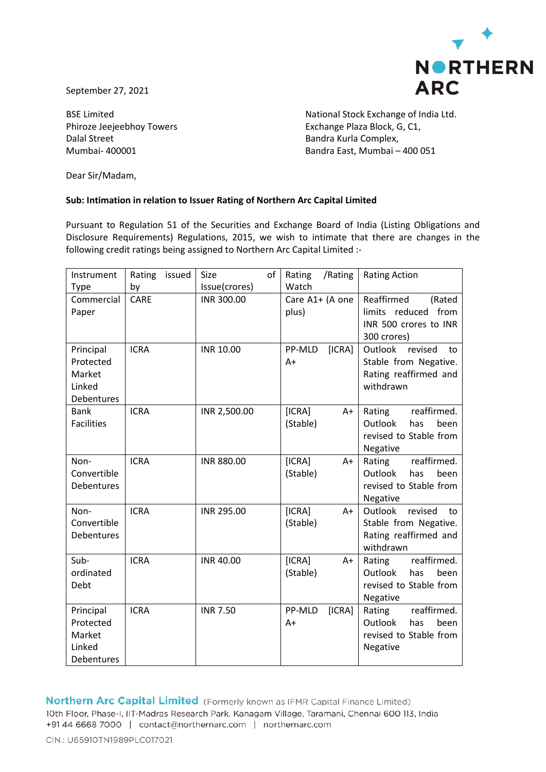

September 27, 2021

Dalal Street Bandra Kurla Complex,

BSE Limited **National Stock Exchange of India Ltd.** Phiroze Jeejeebhoy Towers **Exchange Plaza Block, G, C1,** Mumbai- 400001 Bandra East, Mumbai – 400 051

Dear Sir/Madam,

## **Sub: Intimation in relation to Issuer Rating of Northern Arc Capital Limited**

Pursuant to Regulation 51 of the Securities and Exchange Board of India (Listing Obligations and Disclosure Requirements) Regulations, 2015, we wish to intimate that there are changes in the following credit ratings being assigned to Northern Arc Capital Limited :-

| Instrument<br>Type                                       | Rating<br>issued<br>by | of<br>Size<br>Issue(crores) | /Rating<br>Rating<br>Watch | <b>Rating Action</b>                                                                    |  |  |
|----------------------------------------------------------|------------------------|-----------------------------|----------------------------|-----------------------------------------------------------------------------------------|--|--|
| Commercial<br>Paper                                      | <b>CARE</b>            | INR 300.00                  | Care A1+ (A one<br>plus)   | Reaffirmed<br>(Rated<br>limits reduced from<br>INR 500 crores to INR<br>300 crores)     |  |  |
| Principal<br>Protected<br>Market<br>Linked<br>Debentures | <b>ICRA</b>            | <b>INR 10.00</b>            | PP-MLD<br>[ICRA]<br>$A+$   | revised<br>Outlook<br>to<br>Stable from Negative.<br>Rating reaffirmed and<br>withdrawn |  |  |
| <b>Bank</b><br><b>Facilities</b>                         | <b>ICRA</b>            | INR 2,500.00                | [ICRA]<br>A+<br>(Stable)   | reaffirmed.<br>Rating<br>Outlook<br>has<br>been<br>revised to Stable from<br>Negative   |  |  |
| Non-<br>Convertible<br>Debentures                        | <b>ICRA</b>            | <b>INR 880.00</b>           | [ICRA]<br>A+<br>(Stable)   | reaffirmed.<br>Rating<br>Outlook<br>been<br>has<br>revised to Stable from<br>Negative   |  |  |
| Non-<br>Convertible<br>Debentures                        | <b>ICRA</b>            | INR 295.00                  | [ICRA]<br>$A+$<br>(Stable) | Outlook<br>revised<br>to<br>Stable from Negative.<br>Rating reaffirmed and<br>withdrawn |  |  |
| Sub-<br>ordinated<br>Debt                                | <b>ICRA</b>            | <b>INR 40.00</b>            | [ICRA]<br>A+<br>(Stable)   | reaffirmed.<br>Rating<br>Outlook<br>has<br>been<br>revised to Stable from<br>Negative   |  |  |
| Principal<br>Protected<br>Market<br>Linked<br>Debentures | <b>ICRA</b>            | <b>INR 7.50</b>             | PP-MLD<br>[ICRA]<br>$A+$   | reaffirmed.<br>Rating<br>Outlook<br>has<br>been<br>revised to Stable from<br>Negative   |  |  |